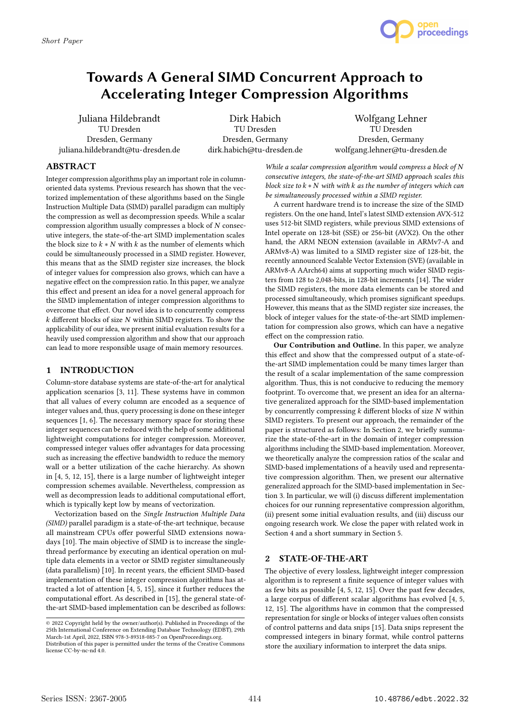

# Towards A General SIMD Concurrent Approach to Accelerating Integer Compression Algorithms

Juliana Hildebrandt TU Dresden Dresden, Germany juliana.hildebrandt@tu-dresden.de

Dirk Habich TU Dresden Dresden, Germany dirk.habich@tu-dresden.de

Wolfgang Lehner TU Dresden Dresden, Germany wolfgang.lehner@tu-dresden.de

## ABSTRACT

Integer compression algorithms play an important role in columnoriented data systems. Previous research has shown that the vectorized implementation of these algorithms based on the Single Instruction Multiple Data (SIMD) parallel paradigm can multiply the compression as well as decompression speeds. While a scalar compression algorithm usually compresses a block of  $N$  consecutive integers, the state-of-the-art SIMD implementation scales the block size to  $k * N$  with  $k$  as the number of elements which could be simultaneously processed in a SIMD register. However, this means that as the SIMD register size increases, the block of integer values for compression also grows, which can have a negative effect on the compression ratio. In this paper, we analyze this effect and present an idea for a novel general approach for the SIMD implementation of integer compression algorithms to overcome that effect. Our novel idea is to concurrently compress  $k$  different blocks of size  $N$  within SIMD registers. To show the applicability of our idea, we present initial evaluation results for a heavily used compression algorithm and show that our approach can lead to more responsible usage of main memory resources.

### 1 INTRODUCTION

Column-store database systems are state-of-the-art for analytical application scenarios [3, 11]. These systems have in common that all values of every column are encoded as a sequence of integer values and, thus, query processing is done on these integer sequences [1, 6]. The necessary memory space for storing these integer sequences can be reduced with the help of some additional lightweight computations for integer compression. Moreover, compressed integer values offer advantages for data processing such as increasing the effective bandwidth to reduce the memory wall or a better utilization of the cache hierarchy. As shown in [4, 5, 12, 15], there is a large number of lightweight integer compression schemes available. Nevertheless, compression as well as decompression leads to additional computational effort, which is typically kept low by means of vectorization.

Vectorization based on the Single Instruction Multiple Data (SIMD) parallel paradigm is a state-of-the-art technique, because all mainstream CPUs offer powerful SIMD extensions nowadays [10]. The main objective of SIMD is to increase the singlethread performance by executing an identical operation on multiple data elements in a vector or SIMD register simultaneously (data parallelism) [10]. In recent years, the efficient SIMD-based implementation of these integer compression algorithms has attracted a lot of attention [4, 5, 15], since it further reduces the computational effort. As described in [15], the general state-ofthe-art SIMD-based implementation can be described as follows:

While a scalar compression algorithm would compress a block of  $N$ consecutive integers, the state-of-the-art SIMD approach scales this block size to  $k * N$  with with  $k$  as the number of integers which can be simultaneously processed within a SIMD register.

A current hardware trend is to increase the size of the SIMD registers. On the one hand, Intel's latest SIMD extension AVX-512 uses 512-bit SIMD registers, while previous SIMD extensions of Intel operate on 128-bit (SSE) or 256-bit (AVX2). On the other hand, the ARM NEON extension (available in ARMv7-A and ARMv8-A) was limited to a SIMD register size of 128-bit, the recently announced Scalable Vector Extension (SVE) (available in ARMv8-A AArch64) aims at supporting much wider SIMD registers from 128 to 2,048-bits, in 128-bit increments [14]. The wider the SIMD registers, the more data elements can be stored and processed simultaneously, which promises significant speedups. However, this means that as the SIMD register size increases, the block of integer values for the state-of-the-art SIMD implementation for compression also grows, which can have a negative effect on the compression ratio.

Our Contribution and Outline. In this paper, we analyze this effect and show that the compressed output of a state-ofthe-art SIMD implementation could be many times larger than the result of a scalar implementation of the same compression algorithm. Thus, this is not conducive to reducing the memory footprint. To overcome that, we present an idea for an alternative generalized approach for the SIMD-based implementation by concurrently compressing  $k$  different blocks of size  $N$  within SIMD registers. To present our approach, the remainder of the paper is structured as follows: In Section 2, we briefly summarize the state-of-the-art in the domain of integer compression algorithms including the SIMD-based implementation. Moreover, we theoretically analyze the compression ratios of the scalar and SIMD-based implementations of a heavily used and representative compression algorithm. Then, we present our alternative generalized approach for the SIMD-based implementation in Section 3. In particular, we will (i) discuss different implementation choices for our running representative compression algorithm, (ii) present some initial evaluation results, and (iii) discuss our ongoing research work. We close the paper with related work in Section 4 and a short summary in Section 5.

## 2 STATE-OF-THE-ART

The objective of every lossless, lightweight integer compression algorithm is to represent a finite sequence of integer values with as few bits as possible [4, 5, 12, 15]. Over the past few decades, a large corpus of different scalar algorithms has evolved [4, 5, 12, 15]. The algorithms have in common that the compressed representation for single or blocks of integer values often consists of control patterns and data snips [15]. Data snips represent the compressed integers in binary format, while control patterns store the auxiliary information to interpret the data snips.

<sup>©</sup> 2022 Copyright held by the owner/author(s). Published in Proceedings of the 25th International Conference on Extending Database Technology (EDBT), 29th March-1st April, 2022, ISBN 978-3-89318-085-7 on OpenProceedings.org. Distribution of this paper is permitted under the terms of the Creative Commons

license CC-by-nc-nd 4.0.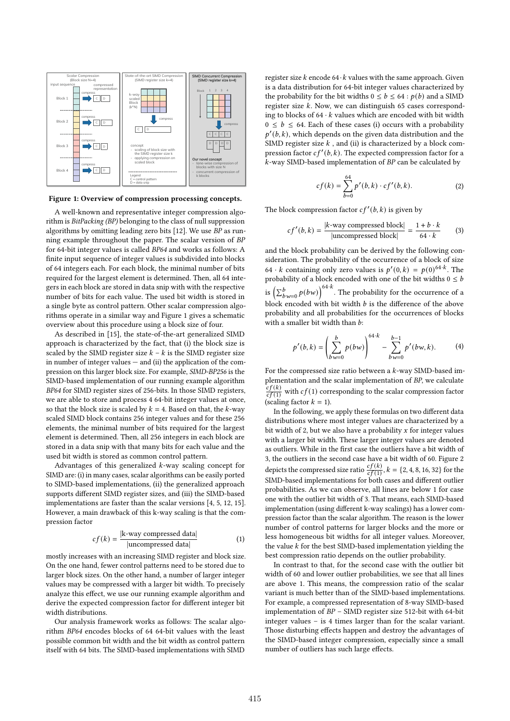

Figure 1: Overview of compression processing concepts.

A well-known and representative integer compression algorithm is BitPacking (BP) belonging to the class of null suppression algorithms by omitting leading zero bits [12]. We use  $\overline{BP}$  as running example throughout the paper. The scalar version of BP for 64-bit integer values is called BP64 and works as follows: A finite input sequence of integer values is subdivided into blocks of 64 integers each. For each block, the minimal number of bits required for the largest element is determined. Then, all 64 integers in each block are stored in data snip with with the respective number of bits for each value. The used bit width is stored in a single byte as control pattern. Other scalar compression algorithms operate in a similar way and Figure 1 gives a schematic overview about this procedure using a block size of four.

As described in [15], the state-of-the-art generalized SIMD approach is characterized by the fact, that (i) the block size is scaled by the SIMD register size  $k - k$  is the SIMD register size in number of integer values  $-$  and (ii) the application of the compression on this larger block size. For example, SIMD-BP256 is the SIMD-based implementation of our running example algorithm BP64 for SIMD register sizes of 256-bits. In those SIMD registers, we are able to store and process 4 64-bit integer values at once, so that the block size is scaled by  $k = 4$ . Based on that, the k-way scaled SIMD block contains 256 integer values and for these 256 elements, the minimal number of bits required for the largest element is determined. Then, all 256 integers in each block are stored in a data snip with that many bits for each value and the used bit width is stored as common control pattern.

Advantages of this generalized  $k$ -way scaling concept for SIMD are: (i) in many cases, scalar algorithms can be easily ported to SIMD-based implementations, (ii) the generalized approach supports different SIMD register sizes, and (iii) the SIMD-based implementations are faster than the scalar versions [4, 5, 12, 15]. However, a main drawback of this k-way scaling is that the compression factor

$$
cf(k) = \frac{|\mathbf{k} \text{-way compressed data}|}{|\text{uncompressed data}|}
$$
(1)

mostly increases with an increasing SIMD register and block size. On the one hand, fewer control patterns need to be stored due to larger block sizes. On the other hand, a number of larger integer values may be compressed with a larger bit width. To precisely analyze this effect, we use our running example algorithm and derive the expected compression factor for different integer bit width distributions.

Our analysis framework works as follows: The scalar algorithm BP64 encodes blocks of 64 64-bit values with the least possible common bit width and the bit width as control pattern itself with 64 bits. The SIMD-based implementations with SIMD

register size  $k$  encode 64  $\cdot$  k values with the same approach. Given is a data distribution for 64-bit integer values characterized by the probability for the bit widths  $0 \leq b \leq 64$ :  $p(b)$  and a SIMD register size  $k$ . Now, we can distinguish 65 cases corresponding to blocks of  $64 \cdot k$  values which are encoded with bit width  $0 \leq b \leq 64$ . Each of these cases (i) occurs with a probability  $p'(b, k)$ , which depends on the given data distribution and the SIMD register size  $k$ , and (ii) is characterized by a block compression factor  $cf'(b, k)$ . The expected compression factor for a -way SIMD-based implementation of BP can be calculated by

$$
cf(k) = \sum_{b=0}^{64} p'(b,k) \cdot cf'(b,k).
$$
 (2)

The block compression factor  $cf'(b, k)$  is given by

$$
cf'(b,k) = \frac{|k \text{-way compressed block}|}{|\text{uncompressed block}|} = \frac{1+b \cdot k}{64 \cdot k} \tag{3}
$$

and the block probability can be derived by the following consideration. The probability of the occurrence of a block of size 64 · *k* containing only zero values is  $p'(0, k) = p(0)^{64 \cdot k}$ . The probability of a block encoded with one of the bit widths  $0 \leq b$ is  $\left(\sum_{b=0}^{b} p(bw)\right)^{64 \cdot k}$ . The probability for the occurrence of a block encoded with bit width  $b$  is the difference of the above probability and all probabilities for the occurrences of blocks with a smaller bit width than  $b$ :

$$
p'(b,k) = \left(\sum_{bw=0}^{b} p(bw)\right)^{64 \cdot k} - \sum_{bw=0}^{b-1} p'(bw, k). \tag{4}
$$

For the compressed size ratio between a  $k$ -way SIMD-based implementation and the scalar implementation of BP, we calculate  $\int cf(k)$  $\frac{cf(k)}{cf(1)}$  with  $cf(1)$  corresponding to the scalar compression factor (scaling factor  $k = 1$ ).

In the following, we apply these formulas on two different data distributions where most integer values are characterized by a bit width of 2, but we also have a probability  $x$  for integer values with a larger bit width. These larger integer values are denoted as outliers. While in the first case the outliers have a bit width of 3, the outliers in the second case have a bit width of 60. Figure 2 depicts the compressed size ratio  $\frac{cf(k)}{cf(1)}$ ,  $k = \{2, 4, 8, 16, 32\}$  for the SIMD-based implementations for both cases and different outlier probabilities. As we can observe, all lines are below 1 for case one with the outlier bit width of 3. That means, each SIMD-based implementation (using different k-way scalings) has a lower compression factor than the scalar algorithm. The reason is the lower number of control patterns for larger blocks and the more or less homogeneous bit widths for all integer values. Moreover, the value  $k$  for the best SIMD-based implementation yielding the best compression ratio depends on the outlier probability.

In contrast to that, for the second case with the outlier bit width of 60 and lower outlier probabilities, we see that all lines are above 1. This means, the compression ratio of the scalar variant is much better than of the SIMD-based implementations. For example, a compressed representation of 8-way SIMD-based implementation of BP – SIMD register size 512-bit with 64-bit integer values – is 4 times larger than for the scalar variant. Those disturbing effects happen and destroy the advantages of the SIMD-based integer compression, especially since a small number of outliers has such large effects.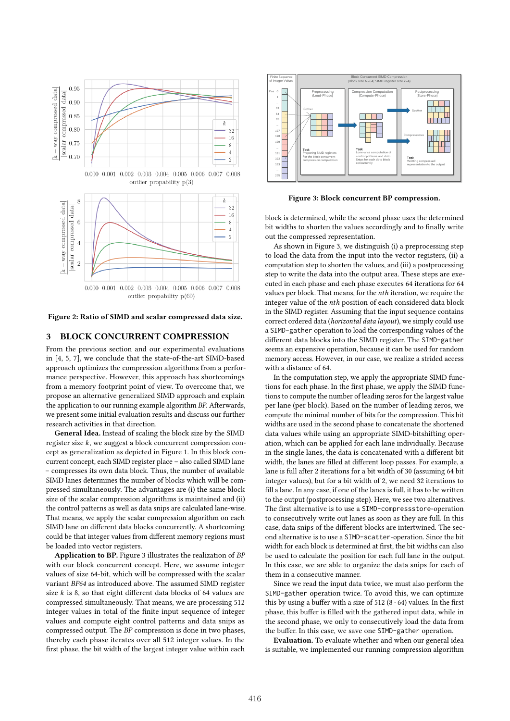



Figure 2: Ratio of SIMD and scalar compressed data size.

### 3 BLOCK CONCURRENT COMPRESSION

From the previous section and our experimental evaluations in [4, 5, 7], we conclude that the state-of-the-art SIMD-based approach optimizes the compression algorithms from a performance perspective. However, this approach has shortcomings from a memory footprint point of view. To overcome that, we propose an alternative generalized SIMD approach and explain the application to our running example algorithm BP. Afterwards, we present some initial evaluation results and discuss our further research activities in that direction.

General Idea. Instead of scaling the block size by the SIMD register size  $k$ , we suggest a block concurrent compression concept as generalization as depicted in Figure 1. In this block concurrent concept, each SIMD register place – also called SIMD lane – compresses its own data block. Thus, the number of available SIMD lanes determines the number of blocks which will be compressed simultaneously. The advantages are (i) the same block size of the scalar compression algorithms is maintained and (ii) the control patterns as well as data snips are calculated lane-wise. That means, we apply the scalar compression algorithm on each SIMD lane on different data blocks concurrently. A shortcoming could be that integer values from different memory regions must be loaded into vector registers.

Application to BP. Figure 3 illustrates the realization of BP with our block concurrent concept. Here, we assume integer values of size 64-bit, which will be compressed with the scalar variant BP64 as introduced above. The assumed SIMD register size  $k$  is 8, so that eight different data blocks of 64 values are compressed simultaneously. That means, we are processing 512 integer values in total of the finite input sequence of integer values and compute eight control patterns and data snips as compressed output. The BP compression is done in two phases, thereby each phase iterates over all 512 integer values. In the first phase, the bit width of the largest integer value within each



Figure 3: Block concurrent BP compression.

block is determined, while the second phase uses the determined bit widths to shorten the values accordingly and to finally write out the compressed representation.

As shown in Figure 3, we distinguish (i) a preprocessing step to load the data from the input into the vector registers, (ii) a computation step to shorten the values, and (iii) a postprocessing step to write the data into the output area. These steps are executed in each phase and each phase executes 64 iterations for 64 values per block. That means, for the *nth* iteration, we require the integer value of the *nth* position of each considered data block in the SIMD register. Assuming that the input sequence contains correct ordered data (horizontal data layout), we simply could use a SIMD-gather operation to load the corresponding values of the different data blocks into the SIMD register. The SIMD-gather seems an expensive operation, because it can be used for random memory access. However, in our case, we realize a strided access with a distance of 64.

In the computation step, we apply the appropriate SIMD functions for each phase. In the first phase, we apply the SIMD functions to compute the number of leading zeros for the largest value per lane (per block). Based on the number of leading zeros, we compute the minimal number of bits for the compression. This bit widths are used in the second phase to concatenate the shortened data values while using an appropriate SIMD-bitshifting operation, which can be applied for each lane individually. Because in the single lanes, the data is concatenated with a different bit width, the lanes are filled at different loop passes. For example, a lane is full after 2 iterations for a bit width of 30 (assuming 64 bit integer values), but for a bit width of 2, we need 32 iterations to fill a lane. In any case, if one of the lanes is full, it has to be written to the output (postprocessing step). Here, we see two alternatives. The first alternative is to use a SIMD-compressstore-operation to consecutively write out lanes as soon as they are full. In this case, data snips of the different blocks are intertwined. The second alternative is to use a SIMD-scatter-operation. Since the bit width for each block is determined at first, the bit widths can also be used to calculate the position for each full lane in the output. In this case, we are able to organize the data snips for each of them in a consecutive manner.

Since we read the input data twice, we must also perform the SIMD-gather operation twice. To avoid this, we can optimize this by using a buffer with a size of 512 (8  $\cdot$  64) values. In the first phase, this buffer is filled with the gathered input data, while in the second phase, we only to consecutively load the data from the buffer. In this case, we save one SIMD-gather operation.

Evaluation. To evaluate whether and when our general idea is suitable, we implemented our running compression algorithm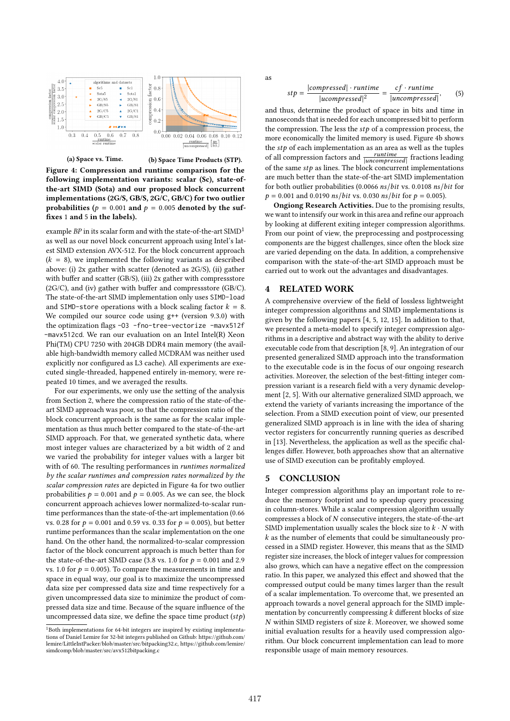



(a) Space vs. Time. (b) Space Time Products (STP).

Figure 4: Compression and runtime comparison for the following implementation variants: scalar (Sc), state-ofthe-art SIMD (Sota) and our proposed block concurrent implementations (2G/S, GB/S, 2G/C, GB/C) for two outlier probabilities ( $p = 0.001$  and  $p = 0.005$  denoted by the suffixes 1 and 5 in the labels).

example  $BP$  in its scalar form and with the state-of-the-art  $\mathrm{SIMD}^{1}$ as well as our novel block concurrent approach using Intel's latest SIMD extension AVX-512. For the block concurrent approach  $(k = 8)$ , we implemented the following variants as described above: (i) 2x gather with scatter (denoted as 2G/S), (ii) gather with buffer and scatter (GB/S), (iii) 2x gather with compressstore (2G/C), and (iv) gather with buffer and compressstore (GB/C). The state-of-the-art SIMD implementation only uses SIMD-load and SIMD-store operations with a block scaling factor  $k = 8$ . We compiled our source code using g++ (version 9.3.0) with the optimization flags -03 -fno-tree-vectorize -mavx512f -mavx512cd. We ran our evaluation on an Intel Intel(R) Xeon Phi(TM) CPU 7250 with 204GB DDR4 main memory (the available high-bandwidth memory called MCDRAM was neither used explicitly nor configured as L3 cache). All experiments are executed single-threaded, happened entirely in-memory, were repeated 10 times, and we averaged the results.

For our experiments, we only use the setting of the analysis from Section 2, where the compression ratio of the state-of-theart SIMD approach was poor, so that the compression ratio of the block concurrent approach is the same as for the scalar implementation as thus much better compared to the state-of-the-art SIMD approach. For that, we generated synthetic data, where most integer values are characterized by a bit width of 2 and we varied the probability for integer values with a larger bit with of 60. The resulting performances in runtimes normalized by the scalar runtimes and compression rates normalized by the scalar compression rates are depicted in Figure 4a for two outlier probabilities  $p = 0.001$  and  $p = 0.005$ . As we can see, the block concurrent approach achieves lower normalized-to-scalar runtime performances than the state-of-the-art implementation (0.66 vs. 0.28 for  $p = 0.001$  and 0.59 vs. 0.33 for  $p = 0.005$ ), but better runtime performances than the scalar implementation on the one hand. On the other hand, the normalized-to-scalar compression factor of the block concurrent approach is much better than for the state-of-the-art SIMD case (3.8 vs. 1.0 for  $p = 0.001$  and 2.9 vs. 1.0 for  $p = 0.005$ ). To compare the measurements in time and space in equal way, our goal is to maximize the uncompressed data size per compressed data size and time respectively for a given uncompressed data size to minimize the product of compressed data size and time. Because of the square influence of the uncompressed data size, we define the space time product  $(stp)$ 

as

$$
stp = \frac{|compressed| \cdot runtime}{|ucompressed|^2} = \frac{cf \cdot runtime}{|uncompressed|}, \qquad (5)
$$

and thus, determine the product of space in bits and time in nanoseconds that is needed for each uncompressed bit to perform the compression. The less the  $stp$  of a compression process, the more economically the limited memory is used. Figure 4b shows the  $stp$  of each implementation as an area as well as the tuples of all compression factors and  $\frac{runtime}{|uncompressed|}$  fractions leading of the same  $stp$  as lines. The block concurrent implementations are much better than the state-of-the-art SIMD implementation for both outlier probabilities (0.0066 ns/bit vs. 0.0108 ns/bit for  $p = 0.001$  and 0.0190 *ns*/*bit* vs. 0.030 *ns*/*bit* for  $p = 0.005$ ).

Ongiong Research Activities. Due to the promising results, we want to intensify our work in this area and refine our approach by looking at different exiting integer compression algorithms. From our point of view, the preprocessing and postprocessing components are the biggest challenges, since often the block size are varied depending on the data. In addition, a comprehensive comparison with the state-of-the-art SIMD approach must be carried out to work out the advantages and disadvantages.

#### 4 RELATED WORK

A comprehensive overview of the field of lossless lightweight integer compression algorithms and SIMD implementations is given by the following papers [4, 5, 12, 15]. In addition to that, we presented a meta-model to specify integer compression algorithms in a descriptive and abstract way with the ability to derive executable code from that description [8, 9]. An integration of our presented generalized SIMD approach into the transformation to the executable code is in the focus of our ongoing research activities. Moreover, the selection of the best-fitting integer compression variant is a research field with a very dynamic development [2, 5]. With our alternative generalized SIMD approach, we extend the variety of variants increasing the importance of the selection. From a SIMD execution point of view, our presented generalized SIMD approach is in line with the idea of sharing vector registers for concurrently running queries as described in [13]. Nevertheless, the application as well as the specific challenges differ. However, both approaches show that an alternative use of SIMD execution can be profitably employed.

#### 5 CONCLUSION

Integer compression algorithms play an important role to reduce the memory footprint and to speedup query processing in column-stores. While a scalar compression algorithm usually compresses a block of  $N$  consecutive integers, the state-of-the-art SIMD implementation usually scales the block size to  $k \cdot N$  with  $k$  as the number of elements that could be simultaneously processed in a SIMD register. However, this means that as the SIMD register size increases, the block of integer values for compression also grows, which can have a negative effect on the compression ratio. In this paper, we analyzed this effect and showed that the compressed output could be many times larger than the result of a scalar implementation. To overcome that, we presented an approach towards a novel general approach for the SIMD implementation by concurrently compressing  $k$  different blocks of size  $N$  within SIMD registers of size  $k$ . Moreover, we showed some initial evaluation results for a heavily used compression algorithm. Our block concurrent implementation can lead to more responsible usage of main memory resources.

<sup>&</sup>lt;sup>1</sup>Both implementations for 64-bit integers are inspired by existing implementations of Daniel Lemire for 32-bit integers published on Github: https://github.com/ lemire/LittleIntPacker/blob/master/src/bitpacking32.c, https://github.com/lemire/ simdcomp/blob/master/src/avx512bitpacking.c